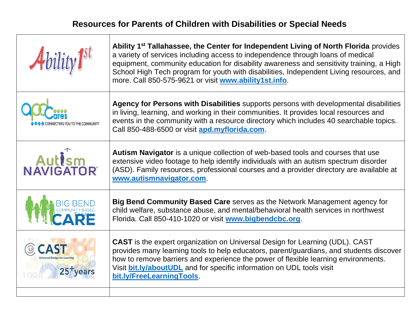# **Resources for Parents of Children with Disabilities or Special Needs**

- IT

Т

| $\boldsymbol{A}$ bility $\boldsymbol{I}^{\text{st}}$ | Ability 1 <sup>st</sup> Tallahassee, the Center for Independent Living of North Florida provides<br>a variety of services including access to independence through loans of medical<br>equipment, community education for disability awareness and sensitivity training, a High<br>School High Tech program for youth with disabilities, Independent Living resources, and<br>more. Call 850-575-9621 or visit www.ability1st.info. |
|------------------------------------------------------|-------------------------------------------------------------------------------------------------------------------------------------------------------------------------------------------------------------------------------------------------------------------------------------------------------------------------------------------------------------------------------------------------------------------------------------|
|                                                      | Agency for Persons with Disabilities supports persons with developmental disabilities<br>in living, learning, and working in their communities. It provides local resources and<br>events in the community with a resource directory which includes 40 searchable topics.<br>Call 850-488-6500 or visit apd.myflorida.com.                                                                                                          |
| Aut <sup>ism</sup><br>NAVIGATOR                      | Autism Navigator is a unique collection of web-based tools and courses that use<br>extensive video footage to help identify individuals with an autism spectrum disorder<br>(ASD). Family resources, professional courses and a provider directory are available at<br>www.autismnavigator.com.                                                                                                                                     |
|                                                      | Big Bend Community Based Care serves as the Network Management agency for<br>child welfare, substance abuse, and mental/behavioral health services in northwest<br>Florida. Call 850-410-1020 or visit www.bigbendcbc.org.                                                                                                                                                                                                          |
|                                                      | <b>CAST</b> is the expert organization on Universal Design for Learning (UDL). CAST<br>provides many learning tools to help educators, parent/guardians, and students discover<br>how to remove barriers and experience the power of flexible learning environments.<br>Visit bit.ly/aboutUDL and for specific information on UDL tools visit<br>bit.ly/FreeLearningTools.                                                          |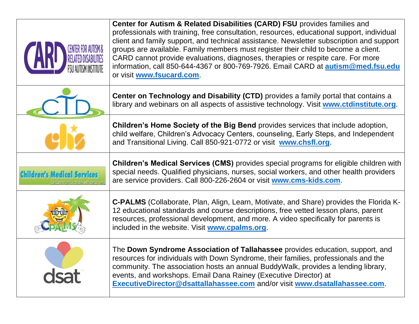|                                | <b>Center for Autism &amp; Related Disabilities (CARD) FSU</b> provides families and<br>professionals with training, free consultation, resources, educational support, individual<br>client and family support, and technical assistance. Newsletter subscription and support<br>groups are available. Family members must register their child to become a client.<br>CARD cannot provide evaluations, diagnoses, therapies or respite care. For more<br>information, call 850-644-4367 or 800-769-7926. Email CARD at autism@med.fsu.edu<br>or visit www.fsucard.com. |
|--------------------------------|--------------------------------------------------------------------------------------------------------------------------------------------------------------------------------------------------------------------------------------------------------------------------------------------------------------------------------------------------------------------------------------------------------------------------------------------------------------------------------------------------------------------------------------------------------------------------|
|                                | Center on Technology and Disability (CTD) provides a family portal that contains a<br>library and webinars on all aspects of assistive technology. Visit www.ctdinstitute.org.                                                                                                                                                                                                                                                                                                                                                                                           |
|                                | <b>Children's Home Society of the Big Bend</b> provides services that include adoption,<br>child welfare, Children's Advocacy Centers, counseling, Early Steps, and Independent<br>and Transitional Living. Call 850-921-0772 or visit www.chsfl.org.                                                                                                                                                                                                                                                                                                                    |
| <b>Children's Medical Serr</b> | <b>Children's Medical Services (CMS)</b> provides special programs for eligible children with<br>special needs. Qualified physicians, nurses, social workers, and other health providers<br>are service providers. Call 800-226-2604 or visit www.cms-kids.com.                                                                                                                                                                                                                                                                                                          |
|                                | <b>C-PALMS</b> (Collaborate, Plan, Align, Learn, Motivate, and Share) provides the Florida K-<br>12 educational standards and course descriptions, free vetted lesson plans, parent<br>resources, professional development, and more. A video specifically for parents is<br>included in the website. Visit www.cpalms.org.                                                                                                                                                                                                                                              |
|                                | The Down Syndrome Association of Tallahassee provides education, support, and<br>resources for individuals with Down Syndrome, their families, professionals and the<br>community. The association hosts an annual BuddyWalk, provides a lending library,<br>events, and workshops. Email Dana Rainey (Executive Director) at<br>ExecutiveDirector@dsattallahassee.com and/or visit www.dsatallahassee.com.                                                                                                                                                              |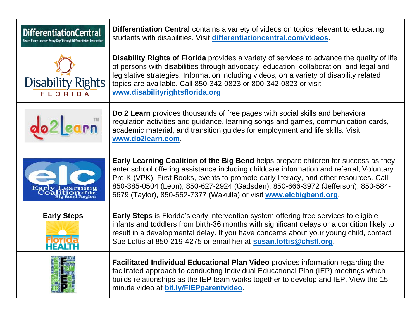| <b>DifferentiationCentral</b><br>Reach Every Learner Every Day Through Differentiated Instruction | <b>Differentiation Central</b> contains a variety of videos on topics relevant to educating<br>students with disabilities. Visit differentiationcentral.com/videos.                                                                                                                                                                                                                                                               |
|---------------------------------------------------------------------------------------------------|-----------------------------------------------------------------------------------------------------------------------------------------------------------------------------------------------------------------------------------------------------------------------------------------------------------------------------------------------------------------------------------------------------------------------------------|
| <b>Disability Rights</b><br><b>FLORIDA</b>                                                        | <b>Disability Rights of Florida</b> provides a variety of services to advance the quality of life<br>of persons with disabilities through advocacy, education, collaboration, and legal and<br>legislative strategies. Information including videos, on a variety of disability related<br>topics are available. Call 850-342-0823 or 800-342-0823 or visit<br>www.disabilityrightsflorida.org                                    |
|                                                                                                   | Do 2 Learn provides thousands of free pages with social skills and behavioral<br>regulation activities and guidance, learning songs and games, communication cards,<br>academic material, and transition guides for employment and life skills. Visit<br>www.do2learn.com.                                                                                                                                                        |
| earn<br><b>Bend Region</b>                                                                        | Early Learning Coalition of the Big Bend helps prepare children for success as they<br>enter school offering assistance including childcare information and referral, Voluntary<br>Pre-K (VPK), First Books, events to promote early literacy, and other resources. Call<br>850-385-0504 (Leon), 850-627-2924 (Gadsden), 850-666-3972 (Jefferson), 850-584-<br>5679 (Taylor), 850-552-7377 (Wakulla) or visit www.elcbigbend.org. |
| <b>Early Steps</b>                                                                                | <b>Early Steps</b> is Florida's early intervention system offering free services to eligible<br>infants and toddlers from birth-36 months with significant delays or a condition likely to<br>result in a developmental delay. If you have concerns about your young child, contact<br>Sue Loftis at 850-219-4275 or email her at susan. loftis@chsfl.org.                                                                        |
|                                                                                                   | Facilitated Individual Educational Plan Video provides information regarding the<br>facilitated approach to conducting Individual Educational Plan (IEP) meetings which<br>builds relationships as the IEP team works together to develop and IEP. View the 15-<br>minute video at bit.ly/FIEPparentvideo.                                                                                                                        |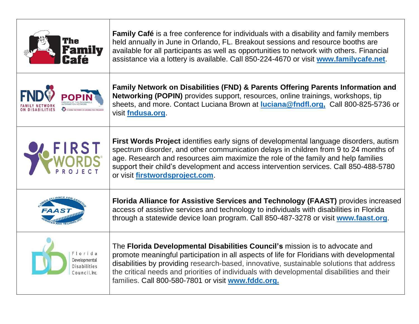| <b>Family</b>                                                    | <b>Family Café</b> is a free conference for individuals with a disability and family members<br>held annually in June in Orlando, FL. Breakout sessions and resource booths are<br>available for all participants as well as opportunities to network with others. Financial<br>assistance via a lottery is available. Call 850-224-4670 or visit www.familycafe.net.                                                    |
|------------------------------------------------------------------|--------------------------------------------------------------------------------------------------------------------------------------------------------------------------------------------------------------------------------------------------------------------------------------------------------------------------------------------------------------------------------------------------------------------------|
|                                                                  | Family Network on Disabilities (FND) & Parents Offering Parents Information and<br>Networking (POPIN) provides support, resources, online trainings, workshops, tip<br>sheets, and more. Contact Luciana Brown at luciana@fndfl.org, Call 800-825-5736 or<br>visit fndusa.org                                                                                                                                            |
|                                                                  | <b>First Words Project</b> identifies early signs of developmental language disorders, autism<br>spectrum disorder, and other communication delays in children from 9 to 24 months of<br>age. Research and resources aim maximize the role of the family and help families<br>support their child's development and access intervention services. Call 850-488-5780<br>or visit firstwordsproject.com.                   |
|                                                                  | Florida Alliance for Assistive Services and Technology (FAAST) provides increased<br>access of assistive services and technology to individuals with disabilities in Florida<br>through a statewide device loan program. Call 850-487-3278 or visit www.faast.org.                                                                                                                                                       |
| Florida<br>Developmental<br><b>Disabilities</b><br>Council. Inc. | The Florida Developmental Disabilities Council's mission is to advocate and<br>promote meaningful participation in all aspects of life for Floridians with developmental<br>disabilities by providing research-based, innovative, sustainable solutions that address<br>the critical needs and priorities of individuals with developmental disabilities and their<br>families. Call 800-580-7801 or visit www.fddc.org. |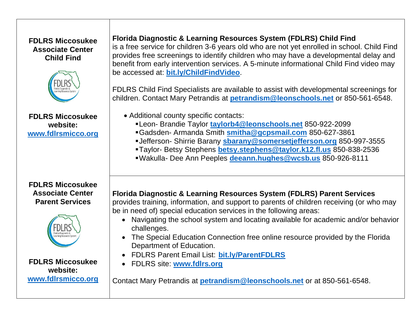#### **FDLRS Miccosukee Associate Center Child Find**



**FDLRS Miccosukee website: [www.fdlrsmicco.org](http://www.fdlrsmicco.org/)**

#### **FDLRS Miccosukee Associate Center Parent Services**



**FDLRS Miccosukee website: [www.fdlrsmicco.org](http://www.fdlrsmicco.org/)**

## **Florida Diagnostic & Learning Resources System (FDLRS) Child Find**

is a free service for children 3-6 years old who are not yet enrolled in school. Child Find provides free screenings to identify children who may have a developmental delay and benefit from early intervention services. A 5-minute informational Child Find video may be accessed at: **[bit.ly/ChildFindVideo](http://bit.ly/ChildFindVideo)**.

FDLRS Child Find Specialists are available to assist with developmental screenings for children. Contact Mary Petrandis at **[petrandism@leonschools.net](mailto:petrandism@leonschools.net)** or 850-561-6548.

- Additional county specific contacts:
	- ▪Leon- Brandie Taylor **[taylorb4@leonschools.net](mailto:taylorb4@leonschools.net)** 850-922-2099
	- ▪Gadsden- Armanda Smith **[smitha@gcpsmail.com](mailto:smitha@gcpsmail.com)** 850-627-3861
	- ▪Jefferson- Shirrie Barany **[sbarany@somersetjefferson.org](mailto:sbarany@somersetjefferson.org)** 850-997-3555
	- ▪Taylor- Betsy Stephens **[betsy.stephens@taylor.k12.fl.us](mailto:betsy.stephens@taylor.k12.fl.us)** 850-838-2536
	- ▪Wakulla- Dee Ann Peeples **[deeann.hughes@wcsb.us](mailto:deeann.hughes@wcsb.us)** 850-926-8111

### **Florida Diagnostic & Learning Resources System (FDLRS) Parent Services**

provides training, information, and support to parents of children receiving (or who may be in need of) special education services in the following areas:

- Navigating the school system and locating available for academic and/or behavior challenges.
- The Special Education Connection free online resource provided by the Florida Department of Education.
- FDLRS Parent Email List: **[bit.ly/ParentFDLRS](http://bit.ly/ParentFDLRS)**
- FDLRS site: **[www.fdlrs.org](http://www.fdlrs.org/)**

Contact Mary Petrandis at **[petrandism@leonschools.net](mailto:petrandism@leonschools.net)** or at 850-561-6548.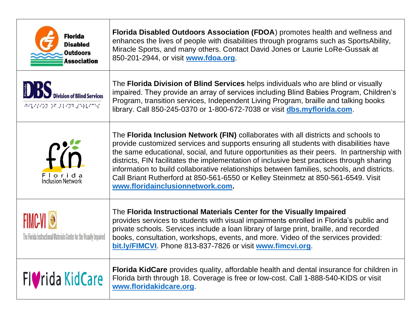| <b>Florida</b><br><b>Disabled</b><br><b>Outdoors</b><br><b>Association</b> | Florida Disabled Outdoors Association (FDOA) promotes health and wellness and<br>enhances the lives of people with disabilities through programs such as SportsAbility,<br>Miracle Sports, and many others. Contact David Jones or Laurie LoRe-Gussak at<br>850-201-2944, or visit www.fdoa.org.                                                                                                                                                                                                                                                                                              |
|----------------------------------------------------------------------------|-----------------------------------------------------------------------------------------------------------------------------------------------------------------------------------------------------------------------------------------------------------------------------------------------------------------------------------------------------------------------------------------------------------------------------------------------------------------------------------------------------------------------------------------------------------------------------------------------|
| <b>Division of Blind Services</b><br>88888222888222223888                  | The <b>Florida Division of Blind Services</b> helps individuals who are blind or visually<br>impaired. They provide an array of services including Blind Babies Program, Children's<br>Program, transition services, Independent Living Program, braille and talking books<br>library. Call 850-245-0370 or 1-800-672-7038 or visit dbs.myflorida.com.                                                                                                                                                                                                                                        |
| f(n)<br>Florida<br><b>Inclusion Network</b>                                | The Florida Inclusion Network (FIN) collaborates with all districts and schools to<br>provide customized services and supports ensuring all students with disabilities have<br>the same educational, social, and future opportunities as their peers. In partnership with<br>districts, FIN facilitates the implementation of inclusive best practices through sharing<br>information to build collaborative relationships between families, schools, and districts.<br>Call Briant Rutherford at 850-561-6550 or Kelley Steinmetz at 850-561-6549. Visit<br>www.floridainclusionnetwork.com. |
| The Florida Instructional Materials Center for the Visually Impaired       | The Florida Instructional Materials Center for the Visually Impaired<br>provides services to students with visual impairments enrolled in Florida's public and<br>private schools. Services include a loan library of large print, braille, and recorded<br>books, consultation, workshops, events, and more. Video of the services provided:<br>bit.ly/FIMCVI. Phone 813-837-7826 or visit www.fimcvi.org.                                                                                                                                                                                   |
| Fl <b>o</b> rida KidCare                                                   | <b>Florida KidCare</b> provides quality, affordable health and dental insurance for children in<br>Florida birth through 18. Coverage is free or low-cost. Call 1-888-540-KIDS or visit<br>www.floridakidcare.org                                                                                                                                                                                                                                                                                                                                                                             |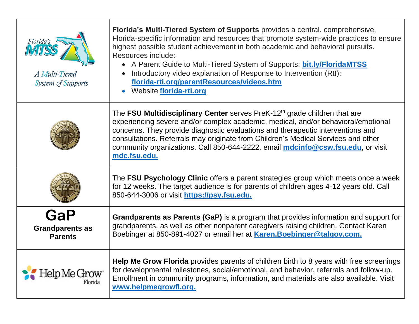| Florida's<br>A Multi-Tiered<br><b>System of Supports</b> | Florida's Multi-Tiered System of Supports provides a central, comprehensive,<br>Florida-specific information and resources that promote system-wide practices to ensure<br>highest possible student achievement in both academic and behavioral pursuits.<br>Resources include:<br>• A Parent Guide to Multi-Tiered System of Supports: bit.ly/FloridaMTSS<br>Introductory video explanation of Response to Intervention (RtI):<br>florida-rti.org/parentResources/videos.htm<br>Website florida-rti.org |
|----------------------------------------------------------|----------------------------------------------------------------------------------------------------------------------------------------------------------------------------------------------------------------------------------------------------------------------------------------------------------------------------------------------------------------------------------------------------------------------------------------------------------------------------------------------------------|
|                                                          | The FSU Multidisciplinary Center serves PreK-12 <sup>th</sup> grade children that are<br>experiencing severe and/or complex academic, medical, and/or behavioral/emotional<br>concerns. They provide diagnostic evaluations and therapeutic interventions and<br>consultations. Referrals may originate from Children's Medical Services and other<br>community organizations. Call 850-644-2222, email mdcinfo@csw.fsu.edu, or visit<br>mdc.fsu.edu.                                                    |
|                                                          | The FSU Psychology Clinic offers a parent strategies group which meets once a week<br>for 12 weeks. The target audience is for parents of children ages 4-12 years old. Call<br>850-644-3006 or visit https://psy.fsu.edu.                                                                                                                                                                                                                                                                               |
| GaP<br><b>Grandparents as</b><br><b>Parents</b>          | Grandparents as Parents (GaP) is a program that provides information and support for<br>grandparents, as well as other nonparent caregivers raising children. Contact Karen<br>Boebinger at 850-891-4027 or email her at <b>Karen. Boebinger@talgov.com.</b>                                                                                                                                                                                                                                             |
| p Me Grow<br>Florida                                     | Help Me Grow Florida provides parents of children birth to 8 years with free screenings<br>for developmental milestones, social/emotional, and behavior, referrals and follow-up.<br>Enrollment in community programs, information, and materials are also available. Visit<br>www.helpmegrowfl.org.                                                                                                                                                                                                     |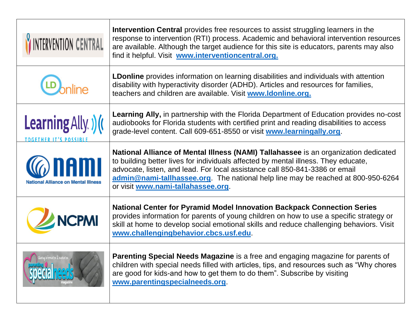| <b>INTERVENTION CENTRAL</b>                         | Intervention Central provides free resources to assist struggling learners in the<br>response to intervention (RTI) process. Academic and behavioral intervention resources<br>are available. Although the target audience for this site is educators, parents may also<br>find it helpful. Visit www.interventioncentral.org.                                                    |
|-----------------------------------------------------|-----------------------------------------------------------------------------------------------------------------------------------------------------------------------------------------------------------------------------------------------------------------------------------------------------------------------------------------------------------------------------------|
|                                                     | <b>LDonline</b> provides information on learning disabilities and individuals with attention<br>disability with hyperactivity disorder (ADHD). Articles and resources for families,<br>teachers and children are available. Visit www.Idonline.org.                                                                                                                               |
| Learning Ally. ) (<br><b>TOGETHER IT'S POSSIBL</b>  | <b>Learning Ally, in partnership with the Florida Department of Education provides no-cost</b><br>audiobooks for Florida students with certified print and reading disabilities to access<br>grade-level content. Call 609-651-8550 or visit www.learningally.org.                                                                                                                |
| anami<br><b>National Alliance on Mental Illness</b> | National Alliance of Mental Illness (NAMI) Tallahassee is an organization dedicated<br>to building better lives for individuals affected by mental illness. They educate,<br>advocate, listen, and lead. For local assistance call 850-841-3386 or email<br>admin@nami-tallhassee.org. The national help line may be reached at 800-950-6264<br>or visit www.nami-tallahassee.org |
| <b>NCPMI</b>                                        | <b>National Center for Pyramid Model Innovation Backpack Connection Series</b><br>provides information for parents of young children on how to use a specific strategy or<br>skill at home to develop social emotional skills and reduce challenging behaviors. Visit<br>www.challengingbehavior.cbcs.usf.edu.                                                                    |
| Sharing Information &                               | <b>Parenting Special Needs Magazine</b> is a free and engaging magazine for parents of<br>children with special needs filled with articles, tips, and resources such as "Why chores"<br>are good for kids-and how to get them to do them". Subscribe by visiting<br>www.parentingspecialneeds.org                                                                                 |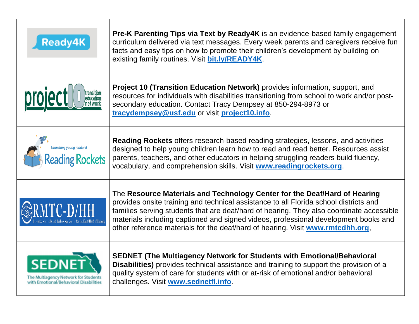| <b>Ready4K</b>                                                            | <b>Pre-K Parenting Tips via Text by Ready4K</b> is an evidence-based family engagement<br>curriculum delivered via text messages. Every week parents and caregivers receive fun<br>facts and easy tips on how to promote their children's development by building on<br>existing family routines. Visit bit.ly/READY4K.                                                                                                                 |
|---------------------------------------------------------------------------|-----------------------------------------------------------------------------------------------------------------------------------------------------------------------------------------------------------------------------------------------------------------------------------------------------------------------------------------------------------------------------------------------------------------------------------------|
| transition<br>education<br>et work                                        | <b>Project 10 (Transition Education Network)</b> provides information, support, and<br>resources for individuals with disabilities transitioning from school to work and/or post-<br>secondary education. Contact Tracy Dempsey at 850-294-8973 or<br>tracydempsey@usf.edu or visit project10.info.                                                                                                                                     |
| Launching young readers!<br><b>Reading Rockets</b>                        | <b>Reading Rockets</b> offers research-based reading strategies, lessons, and activities<br>designed to help young children learn how to read and read better. Resources assist<br>parents, teachers, and other educators in helping struggling readers build fluency,<br>vocabulary, and comprehension skills. Visit www.readingrockets.org.                                                                                           |
|                                                                           | The Resource Materials and Technology Center for the Deaf/Hard of Hearing<br>provides onsite training and technical assistance to all Florida school districts and<br>families serving students that are deaf/hard of hearing. They also coordinate accessible<br>materials including captioned and signed videos, professional development books and<br>other reference materials for the deaf/hard of hearing. Visit www.rmtcdhh.org, |
| The Multiagency Network for Sti<br>with Emotional/Behavioral Disabilities | <b>SEDNET (The Multiagency Network for Students with Emotional/Behavioral</b><br>Disabilities) provides technical assistance and training to support the provision of a<br>quality system of care for students with or at-risk of emotional and/or behavioral<br>challenges. Visit www.sednetfl.info.                                                                                                                                   |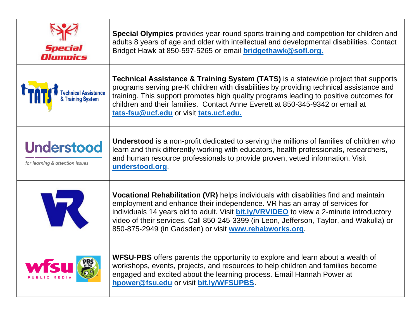| Special<br>Olumnics                                  | Special Olympics provides year-round sports training and competition for children and<br>adults 8 years of age and older with intellectual and developmental disabilities. Contact<br>Bridget Hawk at 850-597-5265 or email <b>bridgethawk@sofl.org.</b>                                                                                                                                                                         |
|------------------------------------------------------|----------------------------------------------------------------------------------------------------------------------------------------------------------------------------------------------------------------------------------------------------------------------------------------------------------------------------------------------------------------------------------------------------------------------------------|
| echnical Assistance<br>& Training System             | <b>Technical Assistance &amp; Training System (TATS)</b> is a statewide project that supports<br>programs serving pre-K children with disabilities by providing technical assistance and<br>training. This support promotes high quality programs leading to positive outcomes for<br>children and their families. Contact Anne Everett at 850-345-9342 or email at<br>tats-fsu@ucf.edu or visit tats.ucf.edu.                   |
| <b>Understood</b><br>for learning & attention issues | <b>Understood</b> is a non-profit dedicated to serving the millions of families of children who<br>learn and think differently working with educators, health professionals, researchers,<br>and human resource professionals to provide proven, vetted information. Visit<br>understood.org.                                                                                                                                    |
| W                                                    | <b>Vocational Rehabilitation (VR)</b> helps individuals with disabilities find and maintain<br>employment and enhance their independence. VR has an array of services for<br>individuals 14 years old to adult. Visit <b>bit.ly/VRVIDEO</b> to view a 2-minute introductory<br>video of their services. Call 850-245-3399 (in Leon, Jefferson, Taylor, and Wakulla) or<br>850-875-2949 (in Gadsden) or visit www.rehabworks.org. |
|                                                      | <b>WFSU-PBS</b> offers parents the opportunity to explore and learn about a wealth of<br>workshops, events, projects, and resources to help children and families become<br>engaged and excited about the learning process. Email Hannah Power at<br>hpower@fsu.edu or visit bit.ly/WFSUPBS                                                                                                                                      |